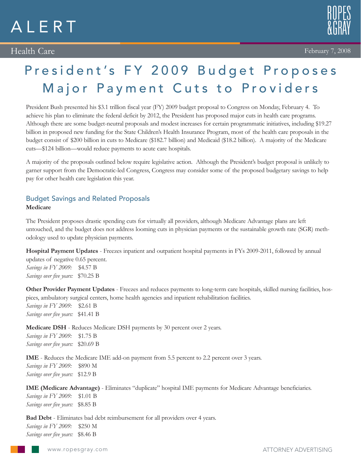# ALERT

## Health Care



## President's FY 2009 Budget Proposes Major Payment Cuts to Providers

President Bush presented his \$3.1 trillion fiscal year (FY) 2009 budget proposal to Congress on Monday, February 4. To achieve his plan to eliminate the federal deficit by 2012, the President has proposed major cuts in health care programs. Although there are some budget-neutral proposals and modest increases for certain programmatic initiatives, including \$19.27 billion in proposed new funding for the State Children's Health Insurance Program, most of the health care proposals in the budget consist of \$200 billion in cuts to Medicare (\$182.7 billion) and Medicaid (\$18.2 billion). A majority of the Medicare cuts—\$124 billion—would reduce payments to acute care hospitals.

A majority of the proposals outlined below require legislative action. Although the President's budget proposal is unlikely to garner support from the Democratic-led Congress, Congress may consider some of the proposed budgetary savings to help pay for other health care legislation this year.

#### Budget Savings and Related Proposals **Medicare**

The President proposes drastic spending cuts for virtually all providers, although Medicare Advantage plans are left untouched, and the budget does not address looming cuts in physician payments or the sustainable growth rate (SGR) methodology used to update physician payments.

**Hospital Payment Updates** - Freezes inpatient and outpatient hospital payments in FYs 2009-2011, followed by annual updates of negative 0.65 percent. *Savings in FY 2009:* \$4.57 B *Savings over five years:* \$70.25 B

**Other Provider Payment Updates** - Freezes and reduces payments to long-term care hospitals, skilled nursing facilities, hospices, ambulatory surgical centers, home health agencies and inpatient rehabilitation facilities.

*Savings in FY 2009:* \$2.61 B *Savings over five years:* \$41.41 B

**Medicare DSH** - Reduces Medicare DSH payments by 30 percent over 2 years. *Savings in FY 2009:* \$1.75 B *Savings over five years:* \$20.69 B

**IME** - Reduces the Medicare IME add-on payment from 5.5 percent to 2.2 percent over 3 years. *Savings in FY 2009:* \$890 M *Savings over five years:* \$12.9 B

**IME (Medicare Advantage)** - Eliminates "duplicate" hospital IME payments for Medicare Advantage beneficiaries. *Savings in FY 2009:* \$1.01 B *Savings over five years:* \$8.85 B

**Bad Debt** - Eliminates bad debt reimbursement for all providers over 4 years. *Savings in FY 2009:* \$250 M *Savings over five years:* \$8.46 B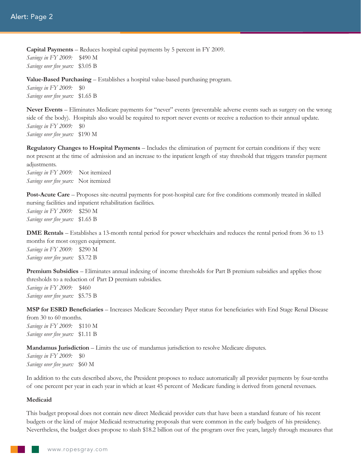**Capital Payments** – Reduces hospital capital payments by 5 percent in FY 2009. *Savings in FY 2009:* \$490 M *Savings over five years:* \$3.05 B

**Value-Based Purchasing** – Establishes a hospital value-based purchasing program.

*Savings in FY 2009:* \$0 *Savings over five years:* \$1.65 B

**Never Events** – Eliminates Medicare payments for "never" events (preventable adverse events such as surgery on the wrong side of the body). Hospitals also would be required to report never events or receive a reduction to their annual update. *Savings in FY 2009:* \$0 *Savings over five years:* \$190 M

**Regulatory Changes to Hospital Payments** – Includes the elimination of payment for certain conditions if they were not present at the time of admission and an increase to the inpatient length of stay threshold that triggers transfer payment adjustments.

*Savings in FY 2009:* Not itemized *Savings over five years:* Not itemized

**Post-Acute Care** – Proposes site-neutral payments for post-hospital care for five conditions commonly treated in skilled nursing facilities and inpatient rehabilitation facilities. *Savings in FY 2009:* \$250 M *Savings over five years:* \$1.65 B

**DME Rentals** – Establishes a 13-month rental period for power wheelchairs and reduces the rental period from 36 to 13 months for most oxygen equipment. *Savings in FY 2009:* \$290 M *Savings over five years:* \$3.72 B

**Premium Subsidies** – Eliminates annual indexing of income thresholds for Part B premium subsidies and applies those thresholds to a reduction of Part D premium subsidies. *Savings in FY 2009:* \$460 *Savings over five years:* \$5.75 B

**MSP for ESRD Beneficiaries** – Increases Medicare Secondary Payer status for beneficiaries with End Stage Renal Disease from 30 to 60 months. *Savings in FY 2009:* \$110 M *Savings over five years:* \$1.11 B

**Mandamus Jurisdiction** – Limits the use of mandamus jurisdiction to resolve Medicare disputes.

*Savings in FY 2009:* \$0 *Savings over five years:* \$60 M

In addition to the cuts described above, the President proposes to reduce automatically all provider payments by four-tenths of one percent per year in each year in which at least 45 percent of Medicare funding is derived from general revenues.

#### **Medicaid**

This budget proposal does not contain new direct Medicaid provider cuts that have been a standard feature of his recent budgets or the kind of major Medicaid restructuring proposals that were common in the early budgets of his presidency. Nevertheless, the budget does propose to slash \$18.2 billion out of the program over five years, largely through measures that